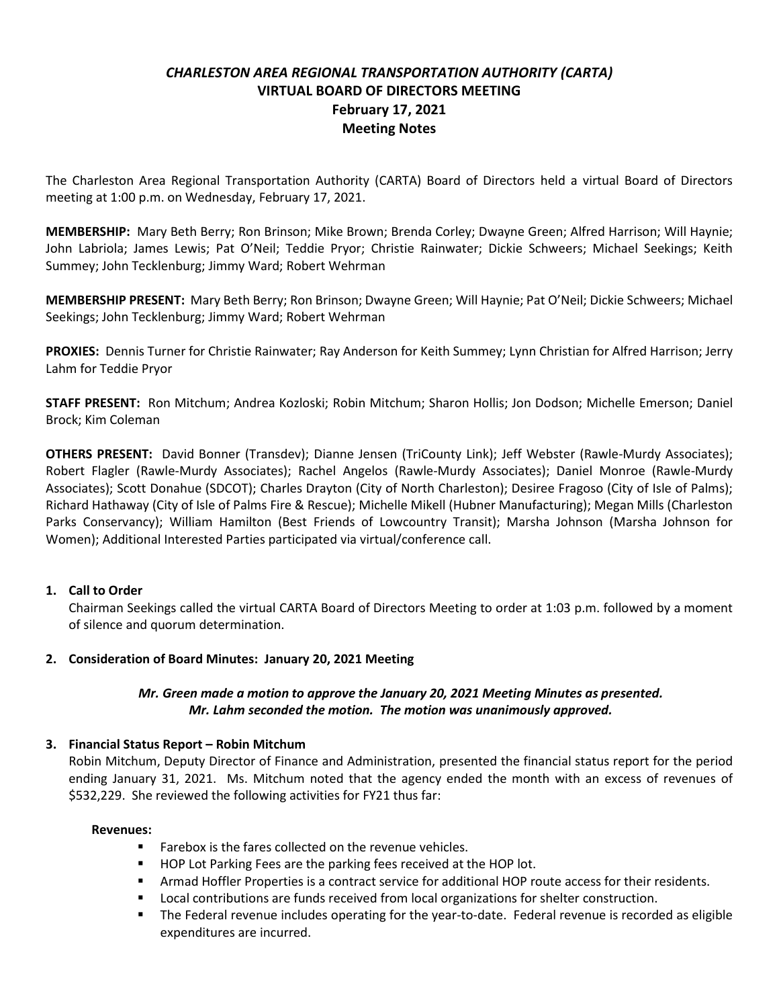# *CHARLESTON AREA REGIONAL TRANSPORTATION AUTHORITY (CARTA)* **VIRTUAL BOARD OF DIRECTORS MEETING February 17, 2021 Meeting Notes**

The Charleston Area Regional Transportation Authority (CARTA) Board of Directors held a virtual Board of Directors meeting at 1:00 p.m. on Wednesday, February 17, 2021.

**MEMBERSHIP:** Mary Beth Berry; Ron Brinson; Mike Brown; Brenda Corley; Dwayne Green; Alfred Harrison; Will Haynie; John Labriola; James Lewis; Pat O'Neil; Teddie Pryor; Christie Rainwater; Dickie Schweers; Michael Seekings; Keith Summey; John Tecklenburg; Jimmy Ward; Robert Wehrman

**MEMBERSHIP PRESENT:** Mary Beth Berry; Ron Brinson; Dwayne Green; Will Haynie; Pat O'Neil; Dickie Schweers; Michael Seekings; John Tecklenburg; Jimmy Ward; Robert Wehrman

**PROXIES:** Dennis Turner for Christie Rainwater; Ray Anderson for Keith Summey; Lynn Christian for Alfred Harrison; Jerry Lahm for Teddie Pryor

**STAFF PRESENT:** Ron Mitchum; Andrea Kozloski; Robin Mitchum; Sharon Hollis; Jon Dodson; Michelle Emerson; Daniel Brock; Kim Coleman

**OTHERS PRESENT:** David Bonner (Transdev); Dianne Jensen (TriCounty Link); Jeff Webster (Rawle-Murdy Associates); Robert Flagler (Rawle-Murdy Associates); Rachel Angelos (Rawle-Murdy Associates); Daniel Monroe (Rawle-Murdy Associates); Scott Donahue (SDCOT); Charles Drayton (City of North Charleston); Desiree Fragoso (City of Isle of Palms); Richard Hathaway (City of Isle of Palms Fire & Rescue); Michelle Mikell (Hubner Manufacturing); Megan Mills (Charleston Parks Conservancy); William Hamilton (Best Friends of Lowcountry Transit); Marsha Johnson (Marsha Johnson for Women); Additional Interested Parties participated via virtual/conference call.

#### **1. Call to Order**

Chairman Seekings called the virtual CARTA Board of Directors Meeting to order at 1:03 p.m. followed by a moment of silence and quorum determination.

#### **2. Consideration of Board Minutes: January 20, 2021 Meeting**

# *Mr. Green made a motion to approve the January 20, 2021 Meeting Minutes as presented. Mr. Lahm seconded the motion. The motion was unanimously approved.*

#### **3. Financial Status Report – Robin Mitchum**

Robin Mitchum, Deputy Director of Finance and Administration, presented the financial status report for the period ending January 31, 2021. Ms. Mitchum noted that the agency ended the month with an excess of revenues of \$532,229. She reviewed the following activities for FY21 thus far:

#### **Revenues:**

- Farebox is the fares collected on the revenue vehicles.
- HOP Lot Parking Fees are the parking fees received at the HOP lot.
- **Armad Hoffler Properties is a contract service for additional HOP route access for their residents.**
- Local contributions are funds received from local organizations for shelter construction.
- The Federal revenue includes operating for the year-to-date. Federal revenue is recorded as eligible expenditures are incurred.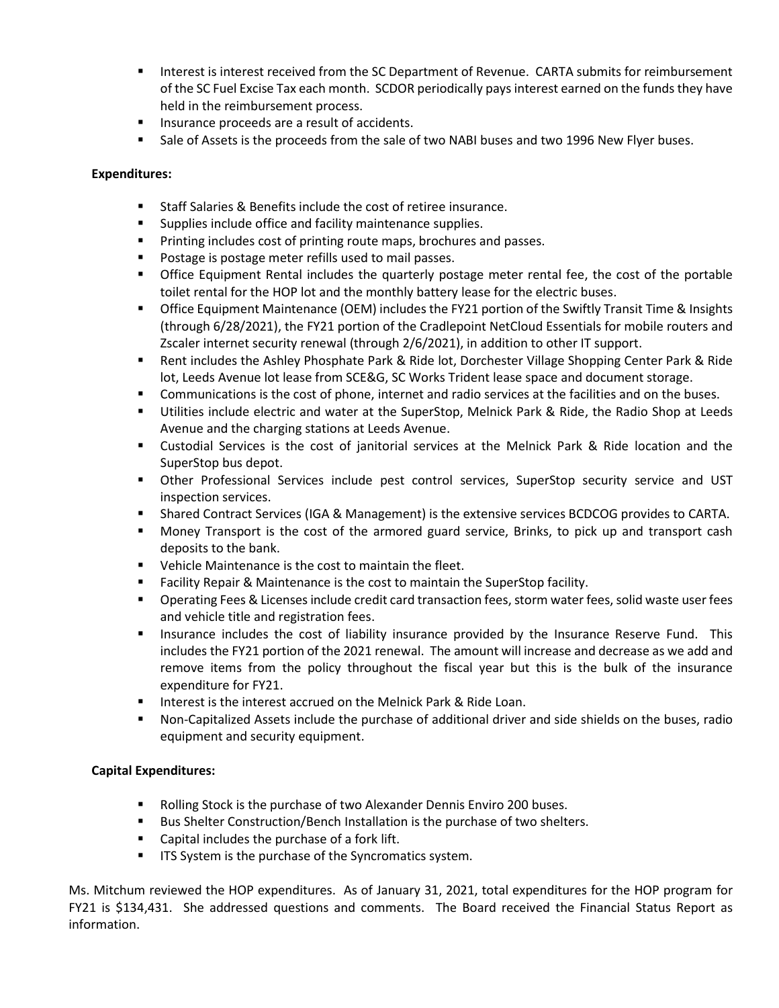- Interest is interest received from the SC Department of Revenue. CARTA submits for reimbursement of the SC Fuel Excise Tax each month. SCDOR periodically pays interest earned on the funds they have held in the reimbursement process.
- Insurance proceeds are a result of accidents.
- **Example 3 I** Sale of Assets is the proceeds from the sale of two NABI buses and two 1996 New Flyer buses.

### **Expenditures:**

- Staff Salaries & Benefits include the cost of retiree insurance.
- Supplies include office and facility maintenance supplies.
- Printing includes cost of printing route maps, brochures and passes.
- Postage is postage meter refills used to mail passes.
- **•** Office Equipment Rental includes the quarterly postage meter rental fee, the cost of the portable toilet rental for the HOP lot and the monthly battery lease for the electric buses.
- Office Equipment Maintenance (OEM) includes the FY21 portion of the Swiftly Transit Time & Insights (through 6/28/2021), the FY21 portion of the Cradlepoint NetCloud Essentials for mobile routers and Zscaler internet security renewal (through 2/6/2021), in addition to other IT support.
- Rent includes the Ashley Phosphate Park & Ride lot, Dorchester Village Shopping Center Park & Ride lot, Leeds Avenue lot lease from SCE&G, SC Works Trident lease space and document storage.
- Communications is the cost of phone, internet and radio services at the facilities and on the buses.
- Utilities include electric and water at the SuperStop, Melnick Park & Ride, the Radio Shop at Leeds Avenue and the charging stations at Leeds Avenue.
- Custodial Services is the cost of janitorial services at the Melnick Park & Ride location and the SuperStop bus depot.
- Other Professional Services include pest control services, SuperStop security service and UST inspection services.
- Shared Contract Services (IGA & Management) is the extensive services BCDCOG provides to CARTA.
- Money Transport is the cost of the armored guard service, Brinks, to pick up and transport cash deposits to the bank.
- Vehicle Maintenance is the cost to maintain the fleet.
- Facility Repair & Maintenance is the cost to maintain the SuperStop facility.
- Operating Fees & Licenses include credit card transaction fees, storm water fees, solid waste user fees and vehicle title and registration fees.
- **■** Insurance includes the cost of liability insurance provided by the Insurance Reserve Fund. This includes the FY21 portion of the 2021 renewal. The amount will increase and decrease as we add and remove items from the policy throughout the fiscal year but this is the bulk of the insurance expenditure for FY21.
- Interest is the interest accrued on the Melnick Park & Ride Loan.
- Non-Capitalized Assets include the purchase of additional driver and side shields on the buses, radio equipment and security equipment.

# **Capital Expenditures:**

- Rolling Stock is the purchase of two Alexander Dennis Enviro 200 buses.
- Bus Shelter Construction/Bench Installation is the purchase of two shelters.
- Capital includes the purchase of a fork lift.
- **■** ITS System is the purchase of the Syncromatics system.

Ms. Mitchum reviewed the HOP expenditures. As of January 31, 2021, total expenditures for the HOP program for FY21 is \$134,431. She addressed questions and comments. The Board received the Financial Status Report as information.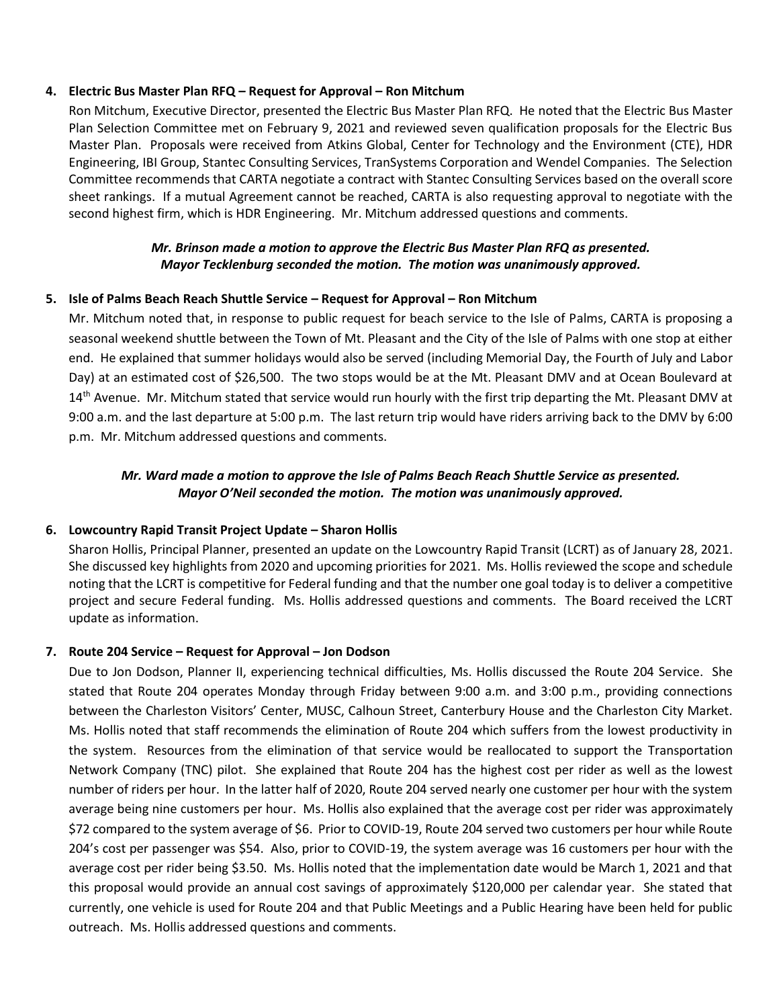### **4. Electric Bus Master Plan RFQ – Request for Approval – Ron Mitchum**

Ron Mitchum, Executive Director, presented the Electric Bus Master Plan RFQ. He noted that the Electric Bus Master Plan Selection Committee met on February 9, 2021 and reviewed seven qualification proposals for the Electric Bus Master Plan. Proposals were received from Atkins Global, Center for Technology and the Environment (CTE), HDR Engineering, IBI Group, Stantec Consulting Services, TranSystems Corporation and Wendel Companies. The Selection Committee recommends that CARTA negotiate a contract with Stantec Consulting Services based on the overall score sheet rankings. If a mutual Agreement cannot be reached, CARTA is also requesting approval to negotiate with the second highest firm, which is HDR Engineering. Mr. Mitchum addressed questions and comments.

### *Mr. Brinson made a motion to approve the Electric Bus Master Plan RFQ as presented. Mayor Tecklenburg seconded the motion. The motion was unanimously approved.*

#### **5. Isle of Palms Beach Reach Shuttle Service – Request for Approval – Ron Mitchum**

Mr. Mitchum noted that, in response to public request for beach service to the Isle of Palms, CARTA is proposing a seasonal weekend shuttle between the Town of Mt. Pleasant and the City of the Isle of Palms with one stop at either end. He explained that summer holidays would also be served (including Memorial Day, the Fourth of July and Labor Day) at an estimated cost of \$26,500. The two stops would be at the Mt. Pleasant DMV and at Ocean Boulevard at 14<sup>th</sup> Avenue. Mr. Mitchum stated that service would run hourly with the first trip departing the Mt. Pleasant DMV at 9:00 a.m. and the last departure at 5:00 p.m. The last return trip would have riders arriving back to the DMV by 6:00 p.m. Mr. Mitchum addressed questions and comments.

# *Mr. Ward made a motion to approve the Isle of Palms Beach Reach Shuttle Service as presented. Mayor O'Neil seconded the motion. The motion was unanimously approved.*

#### **6. Lowcountry Rapid Transit Project Update – Sharon Hollis**

Sharon Hollis, Principal Planner, presented an update on the Lowcountry Rapid Transit (LCRT) as of January 28, 2021. She discussed key highlights from 2020 and upcoming priorities for 2021. Ms. Hollis reviewed the scope and schedule noting that the LCRT is competitive for Federal funding and that the number one goal today is to deliver a competitive project and secure Federal funding. Ms. Hollis addressed questions and comments. The Board received the LCRT update as information.

#### **7. Route 204 Service – Request for Approval – Jon Dodson**

Due to Jon Dodson, Planner II, experiencing technical difficulties, Ms. Hollis discussed the Route 204 Service. She stated that Route 204 operates Monday through Friday between 9:00 a.m. and 3:00 p.m., providing connections between the Charleston Visitors' Center, MUSC, Calhoun Street, Canterbury House and the Charleston City Market. Ms. Hollis noted that staff recommends the elimination of Route 204 which suffers from the lowest productivity in the system. Resources from the elimination of that service would be reallocated to support the Transportation Network Company (TNC) pilot. She explained that Route 204 has the highest cost per rider as well as the lowest number of riders per hour. In the latter half of 2020, Route 204 served nearly one customer per hour with the system average being nine customers per hour. Ms. Hollis also explained that the average cost per rider was approximately \$72 compared to the system average of \$6. Prior to COVID-19, Route 204 served two customers per hour while Route 204's cost per passenger was \$54. Also, prior to COVID-19, the system average was 16 customers per hour with the average cost per rider being \$3.50. Ms. Hollis noted that the implementation date would be March 1, 2021 and that this proposal would provide an annual cost savings of approximately \$120,000 per calendar year. She stated that currently, one vehicle is used for Route 204 and that Public Meetings and a Public Hearing have been held for public outreach. Ms. Hollis addressed questions and comments.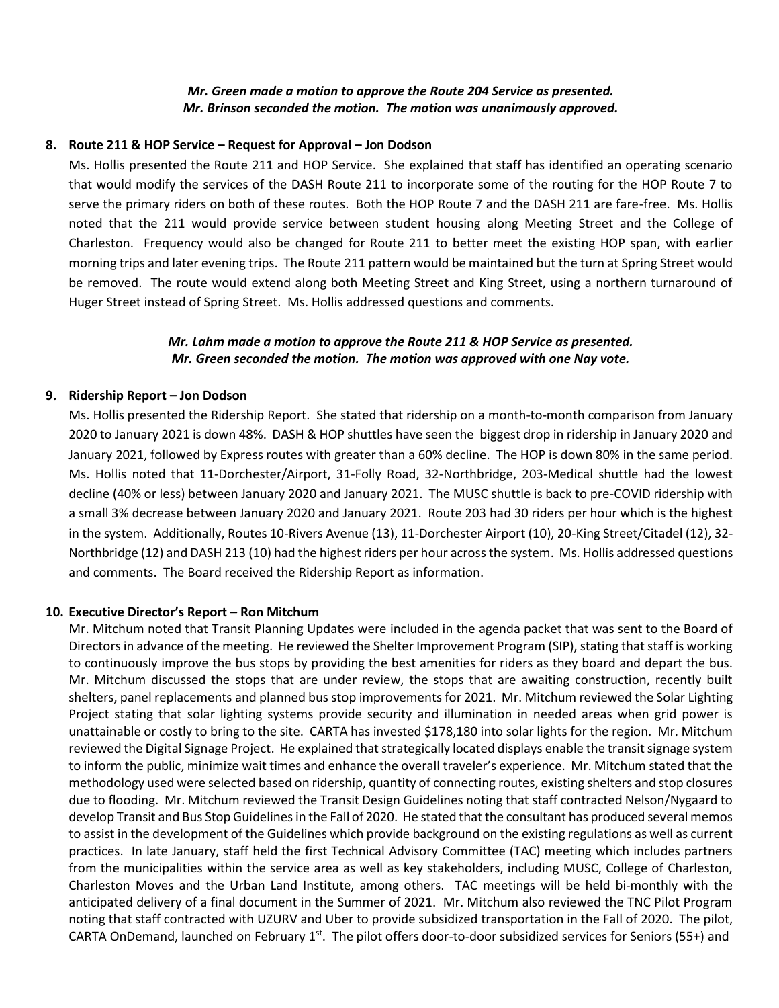#### *Mr. Green made a motion to approve the Route 204 Service as presented. Mr. Brinson seconded the motion. The motion was unanimously approved.*

#### **8. Route 211 & HOP Service – Request for Approval – Jon Dodson**

Ms. Hollis presented the Route 211 and HOP Service. She explained that staff has identified an operating scenario that would modify the services of the DASH Route 211 to incorporate some of the routing for the HOP Route 7 to serve the primary riders on both of these routes. Both the HOP Route 7 and the DASH 211 are fare-free. Ms. Hollis noted that the 211 would provide service between student housing along Meeting Street and the College of Charleston. Frequency would also be changed for Route 211 to better meet the existing HOP span, with earlier morning trips and later evening trips. The Route 211 pattern would be maintained but the turn at Spring Street would be removed. The route would extend along both Meeting Street and King Street, using a northern turnaround of Huger Street instead of Spring Street. Ms. Hollis addressed questions and comments.

#### *Mr. Lahm made a motion to approve the Route 211 & HOP Service as presented. Mr. Green seconded the motion. The motion was approved with one Nay vote.*

#### **9. Ridership Report – Jon Dodson**

Ms. Hollis presented the Ridership Report. She stated that ridership on a month-to-month comparison from January 2020 to January 2021 is down 48%. DASH & HOP shuttles have seen the biggest drop in ridership in January 2020 and January 2021, followed by Express routes with greater than a 60% decline. The HOP is down 80% in the same period. Ms. Hollis noted that 11-Dorchester/Airport, 31-Folly Road, 32-Northbridge, 203-Medical shuttle had the lowest decline (40% or less) between January 2020 and January 2021. The MUSC shuttle is back to pre-COVID ridership with a small 3% decrease between January 2020 and January 2021. Route 203 had 30 riders per hour which is the highest in the system. Additionally, Routes 10-Rivers Avenue (13), 11-Dorchester Airport (10), 20-King Street/Citadel (12), 32- Northbridge (12) and DASH 213 (10) had the highest riders per hour across the system. Ms. Hollis addressed questions and comments. The Board received the Ridership Report as information.

#### **10. Executive Director's Report – Ron Mitchum**

Mr. Mitchum noted that Transit Planning Updates were included in the agenda packet that was sent to the Board of Directors in advance of the meeting. He reviewed the Shelter Improvement Program (SIP), stating that staff is working to continuously improve the bus stops by providing the best amenities for riders as they board and depart the bus. Mr. Mitchum discussed the stops that are under review, the stops that are awaiting construction, recently built shelters, panel replacements and planned bus stop improvements for 2021. Mr. Mitchum reviewed the Solar Lighting Project stating that solar lighting systems provide security and illumination in needed areas when grid power is unattainable or costly to bring to the site. CARTA has invested \$178,180 into solar lights for the region. Mr. Mitchum reviewed the Digital Signage Project. He explained that strategically located displays enable the transit signage system to inform the public, minimize wait times and enhance the overall traveler's experience. Mr. Mitchum stated that the methodology used were selected based on ridership, quantity of connecting routes, existing shelters and stop closures due to flooding. Mr. Mitchum reviewed the Transit Design Guidelines noting that staff contracted Nelson/Nygaard to develop Transit and Bus Stop Guidelines in the Fall of 2020. He stated that the consultant has produced several memos to assist in the development of the Guidelines which provide background on the existing regulations as well as current practices. In late January, staff held the first Technical Advisory Committee (TAC) meeting which includes partners from the municipalities within the service area as well as key stakeholders, including MUSC, College of Charleston, Charleston Moves and the Urban Land Institute, among others. TAC meetings will be held bi-monthly with the anticipated delivery of a final document in the Summer of 2021. Mr. Mitchum also reviewed the TNC Pilot Program noting that staff contracted with UZURV and Uber to provide subsidized transportation in the Fall of 2020. The pilot, CARTA OnDemand, launched on February  $1^{st}$ . The pilot offers door-to-door subsidized services for Seniors (55+) and